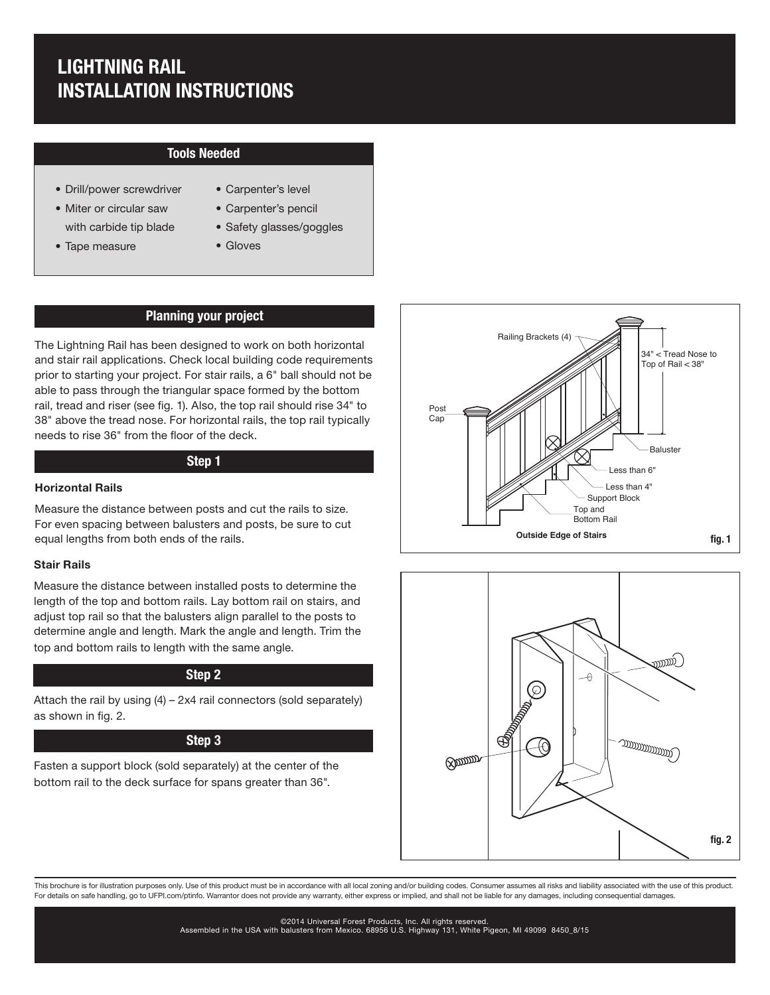# LIGHTNING RAIL INSTALLATION INSTRUCTIONS

# Tools Needed

- Drill/power screwdriver
- Miter or circular saw with carbide tip blade
- Tape measure
- Carpenter's level
- Carpenter's pencil
- Safety glasses/goggles
- Gloves

# Planning your project

The Lightning Rail has been designed to work on both horizontal and stair rail applications. Check local building code requirements prior to starting your project. For stair rails, a 6" ball should not be able to pass through the triangular space formed by the bottom rail, tread and riser (see fig. 1). Also, the top rail should rise 34" to 38" above the tread nose. For horizontal rails, the top rail typically needs to rise 36" from the floor of the deck.

### Step 1

#### Horizontal Rails

Measure the distance between posts and cut the rails to size. For even spacing between balusters and posts, be sure to cut equal lengths from both ends of the rails.

#### Stair Rails

Measure the distance between installed posts to determine the length of the top and bottom rails. Lay bottom rail on stairs, and adjust top rail so that the balusters align parallel to the posts to determine angle and length. Mark the angle and length. Trim the top and bottom rails to length with the same angle.

# Step 2

Attach the rail by using  $(4) - 2x4$  rail connectors (sold separately) as shown in fig. 2.

#### Step 3

Fasten a support block (sold separately) at the center of the bottom rail to the deck surface for spans greater than 36".





This brochure is for illustration purposes only. Use of this product must be in accordance with all local zoning and/or building codes. Consumer assumes all risks and liability associated with the use of this product. For details on safe handling, go to UFPI.com/ptinfo. Warrantor does not provide any warranty, either express or implied, and shall not be liable for any damages, including consequential damages.

> ©2014 Universal Forest Products, Inc. All rights reserved. Assembled in the USA with balusters from Mexico. 68956 U.S. Highway 131, White Pigeon, MI 49099 8450\_8/15